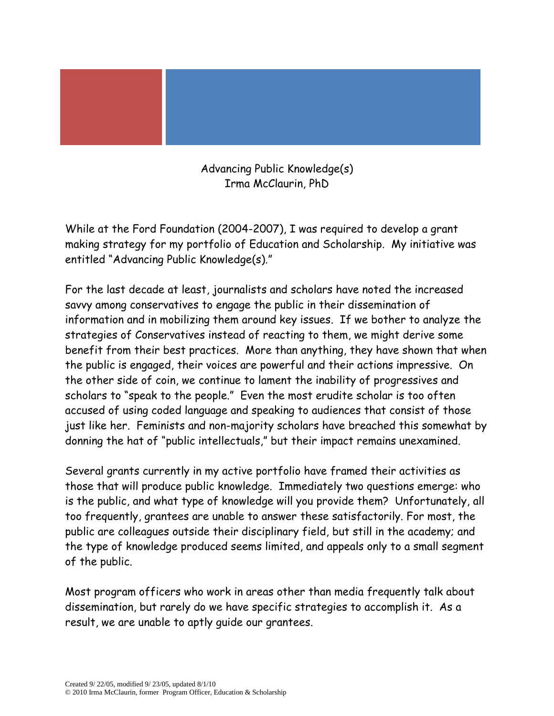Advancing Public Knowledge(s) Irma McClaurin, PhD

While at the Ford Foundation (2004-2007), I was required to develop a grant making strategy for my portfolio of Education and Scholarship. My initiative was entitled "Advancing Public Knowledge(s)."

For the last decade at least, journalists and scholars have noted the increased savvy among conservatives to engage the public in their dissemination of information and in mobilizing them around key issues. If we bother to analyze the strategies of Conservatives instead of reacting to them, we might derive some benefit from their best practices. More than anything, they have shown that when the public is engaged, their voices are powerful and their actions impressive. On the other side of coin, we continue to lament the inability of progressives and scholars to "speak to the people." Even the most erudite scholar is too often accused of using coded language and speaking to audiences that consist of those just like her. Feminists and non-majority scholars have breached this somewhat by donning the hat of "public intellectuals," but their impact remains unexamined.

Several grants currently in my active portfolio have framed their activities as those that will produce public knowledge. Immediately two questions emerge: who is the public, and what type of knowledge will you provide them? Unfortunately, all too frequently, grantees are unable to answer these satisfactorily. For most, the public are colleagues outside their disciplinary field, but still in the academy; and the type of knowledge produced seems limited, and appeals only to a small segment of the public.

Most program officers who work in areas other than media frequently talk about dissemination, but rarely do we have specific strategies to accomplish it. As a result, we are unable to aptly guide our grantees.